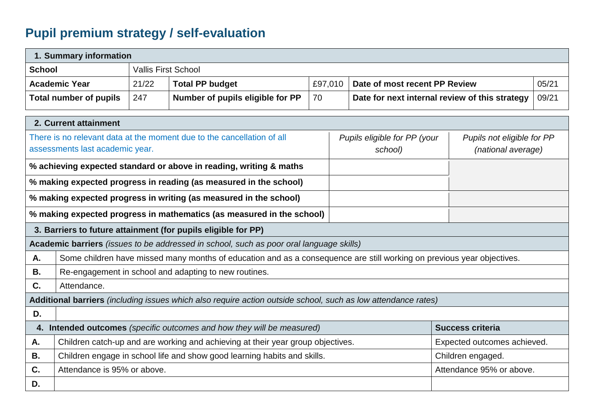## **Pupil premium strategy / self-evaluation**

| 1. Summary information                                                                                        |                                                                                                                        |       |                                  |         |                                                                                             |                               |                             |       |  |
|---------------------------------------------------------------------------------------------------------------|------------------------------------------------------------------------------------------------------------------------|-------|----------------------------------|---------|---------------------------------------------------------------------------------------------|-------------------------------|-----------------------------|-------|--|
| <b>School</b>                                                                                                 | <b>Vallis First School</b>                                                                                             |       |                                  |         |                                                                                             |                               |                             |       |  |
|                                                                                                               | <b>Academic Year</b>                                                                                                   | 21/22 | <b>Total PP budget</b>           | £97,010 |                                                                                             | Date of most recent PP Review | 05/21                       |       |  |
|                                                                                                               | <b>Total number of pupils</b>                                                                                          | 247   | Number of pupils eligible for PP | 70      | Date for next internal review of this strategy                                              |                               |                             | 09/21 |  |
| 2. Current attainment                                                                                         |                                                                                                                        |       |                                  |         |                                                                                             |                               |                             |       |  |
|                                                                                                               |                                                                                                                        |       |                                  |         |                                                                                             |                               |                             |       |  |
| There is no relevant data at the moment due to the cancellation of all<br>assessments last academic year.     |                                                                                                                        |       |                                  |         | Pupils eligible for PP (your<br>Pupils not eligible for PP<br>(national average)<br>school) |                               |                             |       |  |
| % achieving expected standard or above in reading, writing & maths                                            |                                                                                                                        |       |                                  |         |                                                                                             |                               |                             |       |  |
| % making expected progress in reading (as measured in the school)                                             |                                                                                                                        |       |                                  |         |                                                                                             |                               |                             |       |  |
| % making expected progress in writing (as measured in the school)                                             |                                                                                                                        |       |                                  |         |                                                                                             |                               |                             |       |  |
| % making expected progress in mathematics (as measured in the school)                                         |                                                                                                                        |       |                                  |         |                                                                                             |                               |                             |       |  |
| 3. Barriers to future attainment (for pupils eligible for PP)                                                 |                                                                                                                        |       |                                  |         |                                                                                             |                               |                             |       |  |
| Academic barriers (issues to be addressed in school, such as poor oral language skills)                       |                                                                                                                        |       |                                  |         |                                                                                             |                               |                             |       |  |
| A.                                                                                                            | Some children have missed many months of education and as a consequence are still working on previous year objectives. |       |                                  |         |                                                                                             |                               |                             |       |  |
| В.                                                                                                            | Re-engagement in school and adapting to new routines.                                                                  |       |                                  |         |                                                                                             |                               |                             |       |  |
| C.                                                                                                            | Attendance.                                                                                                            |       |                                  |         |                                                                                             |                               |                             |       |  |
| Additional barriers (including issues which also require action outside school, such as low attendance rates) |                                                                                                                        |       |                                  |         |                                                                                             |                               |                             |       |  |
| D.                                                                                                            |                                                                                                                        |       |                                  |         |                                                                                             |                               |                             |       |  |
| 4. Intended outcomes (specific outcomes and how they will be measured)                                        |                                                                                                                        |       |                                  |         |                                                                                             |                               | <b>Success criteria</b>     |       |  |
| Α.                                                                                                            | Children catch-up and are working and achieving at their year group objectives.                                        |       |                                  |         |                                                                                             |                               | Expected outcomes achieved. |       |  |
| <b>B.</b>                                                                                                     | Children engage in school life and show good learning habits and skills.                                               |       |                                  |         |                                                                                             | Children engaged.             |                             |       |  |
| C.                                                                                                            | Attendance is 95% or above.                                                                                            |       |                                  |         |                                                                                             | Attendance 95% or above.      |                             |       |  |
| D.                                                                                                            |                                                                                                                        |       |                                  |         |                                                                                             |                               |                             |       |  |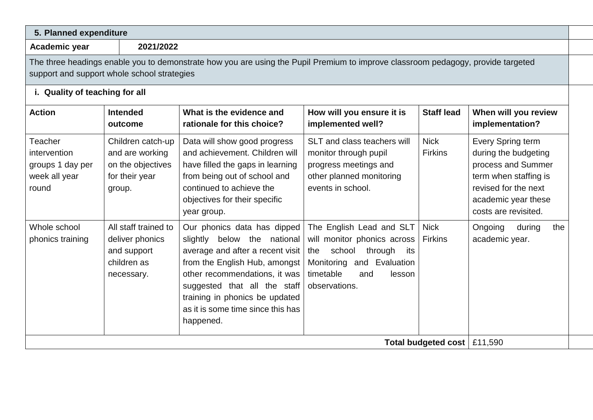| 2021/2022<br>Academic year                                                                                                                                                      |                                                                                       |                                                                                                                                                                                                                                                                                         |                                                                                                                                                                           |                               |                                                                                                                                                                 |  |  |
|---------------------------------------------------------------------------------------------------------------------------------------------------------------------------------|---------------------------------------------------------------------------------------|-----------------------------------------------------------------------------------------------------------------------------------------------------------------------------------------------------------------------------------------------------------------------------------------|---------------------------------------------------------------------------------------------------------------------------------------------------------------------------|-------------------------------|-----------------------------------------------------------------------------------------------------------------------------------------------------------------|--|--|
| The three headings enable you to demonstrate how you are using the Pupil Premium to improve classroom pedagogy, provide targeted<br>support and support whole school strategies |                                                                                       |                                                                                                                                                                                                                                                                                         |                                                                                                                                                                           |                               |                                                                                                                                                                 |  |  |
| i. Quality of teaching for all                                                                                                                                                  |                                                                                       |                                                                                                                                                                                                                                                                                         |                                                                                                                                                                           |                               |                                                                                                                                                                 |  |  |
| <b>Action</b>                                                                                                                                                                   | <b>Intended</b><br>outcome                                                            | What is the evidence and<br>rationale for this choice?                                                                                                                                                                                                                                  | How will you ensure it is<br>implemented well?                                                                                                                            | <b>Staff lead</b>             | When will you review<br>implementation?                                                                                                                         |  |  |
| Teacher<br>intervention<br>groups 1 day per<br>week all year<br>round                                                                                                           | Children catch-up<br>and are working<br>on the objectives<br>for their year<br>group. | Data will show good progress<br>and achievement. Children will<br>have filled the gaps in learning<br>from being out of school and<br>continued to achieve the<br>objectives for their specific<br>year group.                                                                          | SLT and class teachers will<br>monitor through pupil<br>progress meetings and<br>other planned monitoring<br>events in school.                                            | <b>Nick</b><br><b>Firkins</b> | Every Spring term<br>during the budgeting<br>process and Summer<br>term when staffing is<br>revised for the next<br>academic year these<br>costs are revisited. |  |  |
| Whole school<br>phonics training                                                                                                                                                | All staff trained to<br>deliver phonics<br>and support<br>children as<br>necessary.   | Our phonics data has dipped<br>below the national<br>slightly<br>average and after a recent visit<br>from the English Hub, amongst<br>other recommendations, it was<br>suggested that all the staff<br>training in phonics be updated<br>as it is some time since this has<br>happened. | The English Lead and SLT<br>will monitor phonics across<br>school<br>through<br>its<br>the<br>and Evaluation<br>Monitoring<br>timetable<br>lesson<br>and<br>observations. | <b>Nick</b><br><b>Firkins</b> | Ongoing<br>during<br>the<br>academic year.                                                                                                                      |  |  |
|                                                                                                                                                                                 | £11,590<br>Total budgeted cost                                                        |                                                                                                                                                                                                                                                                                         |                                                                                                                                                                           |                               |                                                                                                                                                                 |  |  |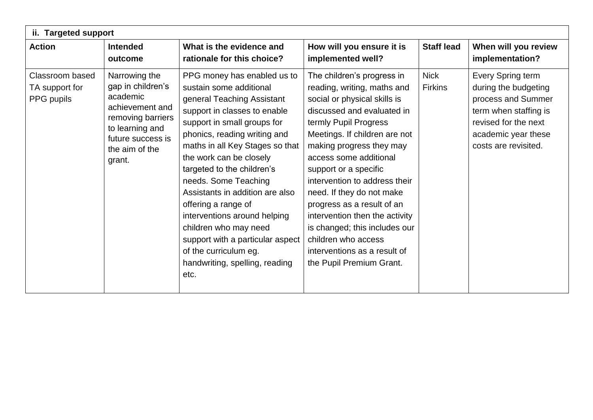| ii. Targeted support                            |                                                                                                                                                            |                                                                                                                                                                                                                                                                                                                                                                                                                                                                                                                                   |                                                                                                                                                                                                                                                                                                                                                                                                                                                                                                                    |                               |                                                                                                                                                                 |  |  |  |
|-------------------------------------------------|------------------------------------------------------------------------------------------------------------------------------------------------------------|-----------------------------------------------------------------------------------------------------------------------------------------------------------------------------------------------------------------------------------------------------------------------------------------------------------------------------------------------------------------------------------------------------------------------------------------------------------------------------------------------------------------------------------|--------------------------------------------------------------------------------------------------------------------------------------------------------------------------------------------------------------------------------------------------------------------------------------------------------------------------------------------------------------------------------------------------------------------------------------------------------------------------------------------------------------------|-------------------------------|-----------------------------------------------------------------------------------------------------------------------------------------------------------------|--|--|--|
| <b>Action</b>                                   | <b>Intended</b><br>outcome                                                                                                                                 | What is the evidence and<br>rationale for this choice?                                                                                                                                                                                                                                                                                                                                                                                                                                                                            | How will you ensure it is<br>implemented well?                                                                                                                                                                                                                                                                                                                                                                                                                                                                     | <b>Staff lead</b>             | When will you review<br>implementation?                                                                                                                         |  |  |  |
| Classroom based<br>TA support for<br>PPG pupils | Narrowing the<br>gap in children's<br>academic<br>achievement and<br>removing barriers<br>to learning and<br>future success is<br>the aim of the<br>grant. | PPG money has enabled us to<br>sustain some additional<br>general Teaching Assistant<br>support in classes to enable<br>support in small groups for<br>phonics, reading writing and<br>maths in all Key Stages so that<br>the work can be closely<br>targeted to the children's<br>needs. Some Teaching<br>Assistants in addition are also<br>offering a range of<br>interventions around helping<br>children who may need<br>support with a particular aspect<br>of the curriculum eg.<br>handwriting, spelling, reading<br>etc. | The children's progress in<br>reading, writing, maths and<br>social or physical skills is<br>discussed and evaluated in<br>termly Pupil Progress<br>Meetings. If children are not<br>making progress they may<br>access some additional<br>support or a specific<br>intervention to address their<br>need. If they do not make<br>progress as a result of an<br>intervention then the activity<br>is changed; this includes our<br>children who access<br>interventions as a result of<br>the Pupil Premium Grant. | <b>Nick</b><br><b>Firkins</b> | Every Spring term<br>during the budgeting<br>process and Summer<br>term when staffing is<br>revised for the next<br>academic year these<br>costs are revisited. |  |  |  |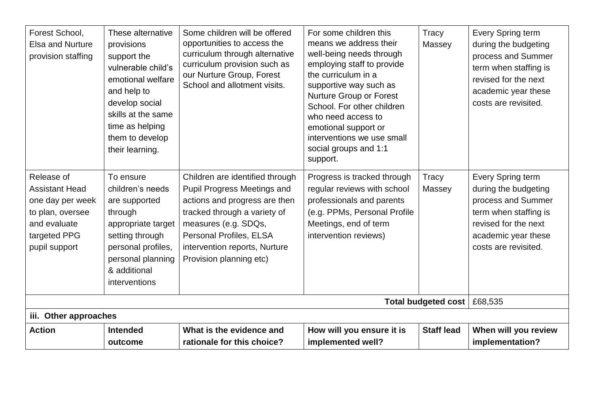| Forest School,<br><b>Elsa and Nurture</b><br>provision staffing                                                              | These alternative<br>provisions<br>support the<br>vulnerable child's<br>emotional welfare<br>and help to<br>develop social<br>skills at the same<br>time as helping<br>them to develop<br>their learning. | Some children will be offered<br>opportunities to access the<br>curriculum through alternative<br>curriculum provision such as<br>our Nurture Group, Forest<br>School and allotment visits.                                                           | For some children this<br>means we address their<br>well-being needs through<br>employing staff to provide<br>the curriculum in a<br>supportive way such as<br>Nurture Group or Forest<br>School. For other children<br>who need access to<br>emotional support or<br>interventions we use small<br>social groups and 1:1<br>support. | Tracy<br>Massey   | Every Spring term<br>during the budgeting<br>process and Summer<br>term when staffing is<br>revised for the next<br>academic year these<br>costs are revisited. |  |
|------------------------------------------------------------------------------------------------------------------------------|-----------------------------------------------------------------------------------------------------------------------------------------------------------------------------------------------------------|-------------------------------------------------------------------------------------------------------------------------------------------------------------------------------------------------------------------------------------------------------|---------------------------------------------------------------------------------------------------------------------------------------------------------------------------------------------------------------------------------------------------------------------------------------------------------------------------------------|-------------------|-----------------------------------------------------------------------------------------------------------------------------------------------------------------|--|
| Release of<br><b>Assistant Head</b><br>one day per week<br>to plan, oversee<br>and evaluate<br>targeted PPG<br>pupil support | To ensure<br>children's needs<br>are supported<br>through<br>appropriate target<br>setting through<br>personal profiles,<br>personal planning<br>& additional<br>interventions                            | Children are identified through<br><b>Pupil Progress Meetings and</b><br>actions and progress are then<br>tracked through a variety of<br>measures (e.g. SDQs,<br>Personal Profiles, ELSA<br>intervention reports, Nurture<br>Provision planning etc) | Progress is tracked through<br>regular reviews with school<br>professionals and parents<br>(e.g. PPMs, Personal Profile<br>Meetings, end of term<br>intervention reviews)                                                                                                                                                             | Tracy<br>Massey   | Every Spring term<br>during the budgeting<br>process and Summer<br>term when staffing is<br>revised for the next<br>academic year these<br>costs are revisited. |  |
|                                                                                                                              | Total budgeted cost<br>£68,535                                                                                                                                                                            |                                                                                                                                                                                                                                                       |                                                                                                                                                                                                                                                                                                                                       |                   |                                                                                                                                                                 |  |
| iii. Other approaches                                                                                                        |                                                                                                                                                                                                           |                                                                                                                                                                                                                                                       |                                                                                                                                                                                                                                                                                                                                       |                   |                                                                                                                                                                 |  |
| <b>Action</b>                                                                                                                | <b>Intended</b><br>outcome                                                                                                                                                                                | What is the evidence and<br>rationale for this choice?                                                                                                                                                                                                | How will you ensure it is<br>implemented well?                                                                                                                                                                                                                                                                                        | <b>Staff lead</b> | When will you review<br>implementation?                                                                                                                         |  |